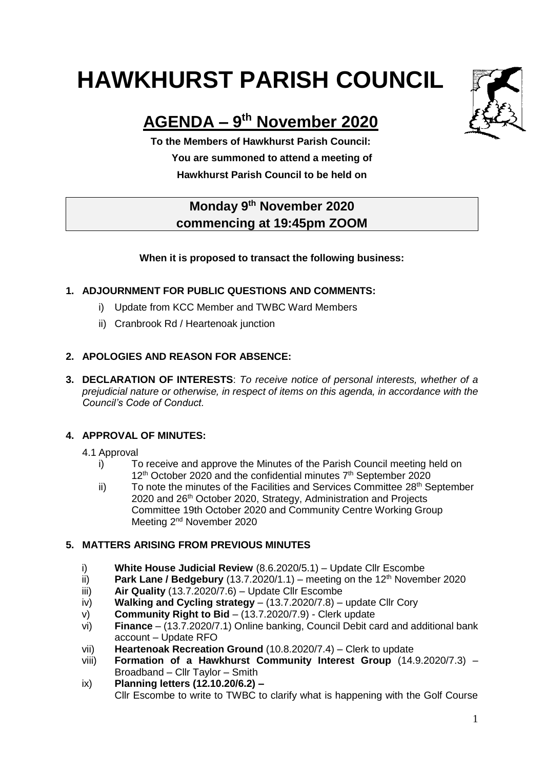# **HAWKHURST PARISH COUNCIL**



# **AGENDA – 9 th November 2020**

**To the Members of Hawkhurst Parish Council: You are summoned to attend a meeting of Hawkhurst Parish Council to be held on**

## **Monday 9 th November 2020 commencing at 19:45pm ZOOM**

#### **When it is proposed to transact the following business:**

#### **1. ADJOURNMENT FOR PUBLIC QUESTIONS AND COMMENTS:**

- i) Update from KCC Member and TWBC Ward Members
- ii) Cranbrook Rd / Heartenoak junction

#### **2. APOLOGIES AND REASON FOR ABSENCE:**

**3. DECLARATION OF INTERESTS**: *To receive notice of personal interests, whether of a prejudicial nature or otherwise, in respect of items on this agenda, in accordance with the Council's Code of Conduct.*

#### **4. APPROVAL OF MINUTES:**

#### 4.1 Approval

- i) To receive and approve the Minutes of the Parish Council meeting held on 12<sup>th</sup> October 2020 and the confidential minutes 7<sup>th</sup> September 2020
- ii) To note the minutes of the Facilities and Services Committee  $28<sup>th</sup>$  September 2020 and 26<sup>th</sup> October 2020, Strategy, Administration and Projects Committee 19th October 2020 and Community Centre Working Group Meeting 2<sup>nd</sup> November 2020

#### **5. MATTERS ARISING FROM PREVIOUS MINUTES**

- i) **White House Judicial Review** (8.6.2020/5.1) Update Cllr Escombe
- ii) **Park Lane / Bedgebury** (13.7.2020/1.1) meeting on the  $12<sup>th</sup>$  November 2020
- iii) **Air Quality** (13.7.2020/7.6) Update Cllr Escombe
- iv) **Walking and Cycling strategy**  (13.7.2020/7.8) update Cllr Cory
- v) **Community Right to Bid** (13.7.2020/7.9) Clerk update
- vi) **Finance** (13.7.2020/7.1) Online banking, Council Debit card and additional bank account – Update RFO
- vii) **Heartenoak Recreation Ground** (10.8.2020/7.4) Clerk to update
- viii) **Formation of a Hawkhurst Community Interest Group** (14.9.2020/7.3) Broadband – Cllr Taylor – Smith
- ix) **Planning letters (12.10.20/6.2) –** Cllr Escombe to write to TWBC to clarify what is happening with the Golf Course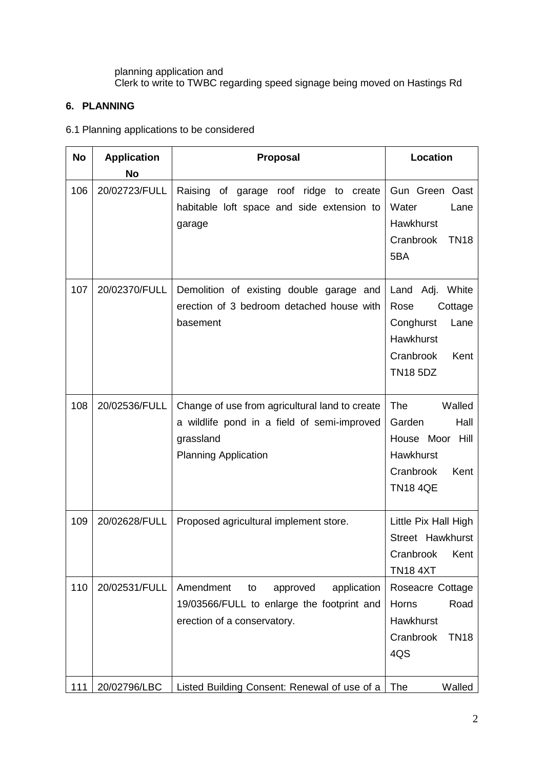planning application and Clerk to write to TWBC regarding speed signage being moved on Hastings Rd

### **6. PLANNING**

#### 6.1 Planning applications to be considered

| <b>No</b> | <b>Application</b><br>No | Proposal                                                                                                                                  | Location                                                                                                            |  |
|-----------|--------------------------|-------------------------------------------------------------------------------------------------------------------------------------------|---------------------------------------------------------------------------------------------------------------------|--|
| 106       | 20/02723/FULL            | ridge to create<br>Raising of garage<br>roof<br>habitable loft space and side extension to<br>garage                                      | Gun Green Oast<br>Water<br>Lane<br>Hawkhurst<br>Cranbrook<br><b>TN18</b><br>5BA                                     |  |
| 107       | 20/02370/FULL            | Demolition of existing double garage and<br>erection of 3 bedroom detached house with<br>basement                                         | Land Adj. White<br>Rose<br>Cottage<br>Conghurst<br>Lane<br><b>Hawkhurst</b><br>Cranbrook<br>Kent<br><b>TN18 5DZ</b> |  |
| 108       | 20/02536/FULL            | Change of use from agricultural land to create<br>a wildlife pond in a field of semi-improved<br>grassland<br><b>Planning Application</b> | <b>The</b><br>Walled<br>Garden<br>Hall<br>House Moor<br>Hill<br>Hawkhurst<br>Cranbrook<br>Kent<br><b>TN18 4QE</b>   |  |
| 109       | 20/02628/FULL            | Proposed agricultural implement store.                                                                                                    | Little Pix Hall High<br>Street Hawkhurst<br>Cranbrook Kent<br><b>TN18 4XT</b>                                       |  |
| 110       | 20/02531/FULL            | Amendment<br>approved<br>application<br>to<br>19/03566/FULL to enlarge the footprint and<br>erection of a conservatory.                   | Roseacre Cottage<br>Horns<br>Road<br>Hawkhurst<br>Cranbrook<br><b>TN18</b><br>4QS                                   |  |
| 111       | 20/02796/LBC             | Listed Building Consent: Renewal of use of a                                                                                              | The<br>Walled                                                                                                       |  |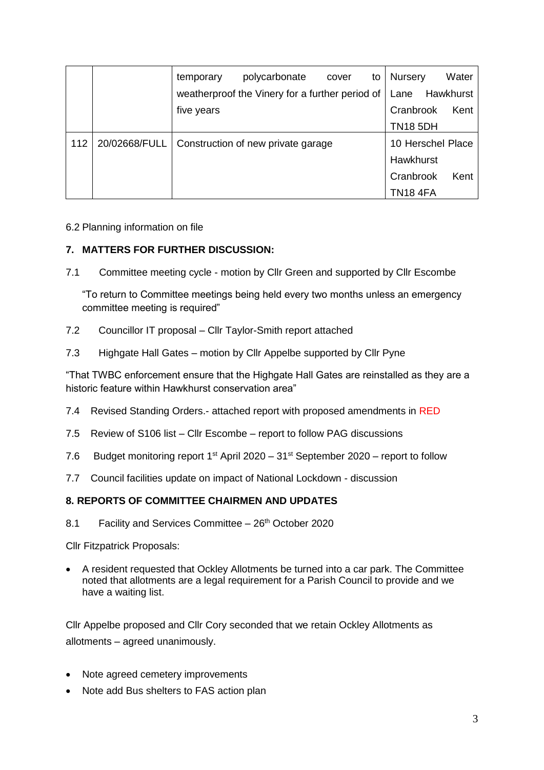|     |               | temporary                                       | polycarbonate | cover             | to | Nursery         | Water     |
|-----|---------------|-------------------------------------------------|---------------|-------------------|----|-----------------|-----------|
|     |               | weatherproof the Vinery for a further period of |               |                   |    | Lane            | Hawkhurst |
|     |               | five years                                      |               |                   |    | Cranbrook       | Kent      |
|     |               |                                                 |               |                   |    | <b>TN18 5DH</b> |           |
| 112 | 20/02668/FULL | Construction of new private garage              |               | 10 Herschel Place |    |                 |           |
|     |               |                                                 |               |                   |    | Hawkhurst       |           |
|     |               |                                                 |               |                   |    | Cranbrook       | Kent      |
|     |               |                                                 |               |                   |    | <b>TN18 4FA</b> |           |

#### 6.2 Planning information on file

#### **7. MATTERS FOR FURTHER DISCUSSION:**

7.1 Committee meeting cycle - motion by Cllr Green and supported by Cllr Escombe

"To return to Committee meetings being held every two months unless an emergency committee meeting is required"

- 7.2 Councillor IT proposal Cllr Taylor-Smith report attached
- 7.3 Highgate Hall Gates motion by Cllr Appelbe supported by Cllr Pyne

"That TWBC enforcement ensure that the Highgate Hall Gates are reinstalled as they are a historic feature within Hawkhurst conservation area"

- 7.4 Revised Standing Orders.- attached report with proposed amendments in RED
- 7.5 Review of S106 list Cllr Escombe report to follow PAG discussions
- 7.6 Budget monitoring report  $1^{st}$  April 2020  $31^{st}$  September 2020 report to follow
- 7.7 Council facilities update on impact of National Lockdown discussion

#### **8. REPORTS OF COMMITTEE CHAIRMEN AND UPDATES**

8.1 Facility and Services Committee  $-26<sup>th</sup>$  October 2020

Cllr Fitzpatrick Proposals:

 A resident requested that Ockley Allotments be turned into a car park. The Committee noted that allotments are a legal requirement for a Parish Council to provide and we have a waiting list.

Cllr Appelbe proposed and Cllr Cory seconded that we retain Ockley Allotments as allotments – agreed unanimously.

- Note agreed cemetery improvements
- Note add Bus shelters to FAS action plan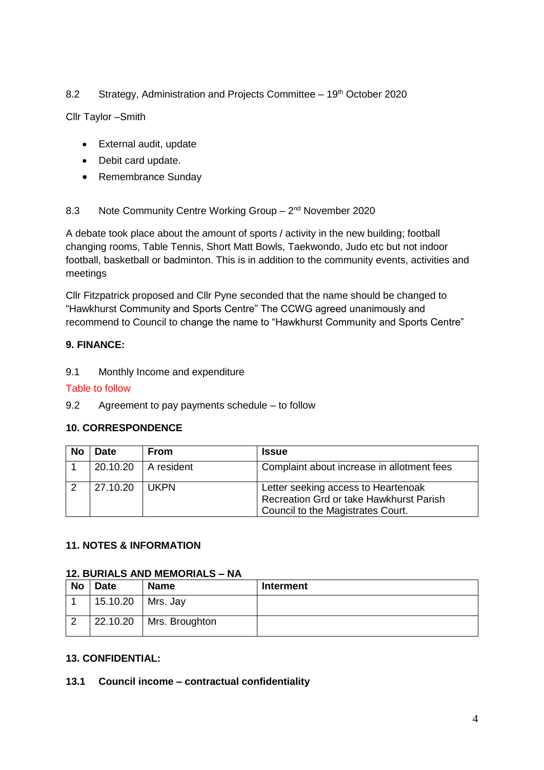#### 8.2 Strategy, Administration and Projects Committee - 19<sup>th</sup> October 2020

Cllr Taylor –Smith

- External audit, update
- Debit card update.
- Remembrance Sunday

#### 8.3 Note Community Centre Working Group - 2<sup>nd</sup> November 2020

A debate took place about the amount of sports / activity in the new building; football changing rooms, Table Tennis, Short Matt Bowls, Taekwondo, Judo etc but not indoor football, basketball or badminton. This is in addition to the community events, activities and meetings

Cllr Fitzpatrick proposed and Cllr Pyne seconded that the name should be changed to "Hawkhurst Community and Sports Centre" The CCWG agreed unanimously and recommend to Council to change the name to "Hawkhurst Community and Sports Centre"

#### **9. FINANCE:**

9.1 Monthly Income and expenditure

#### Table to follow

9.2 Agreement to pay payments schedule – to follow

#### **10. CORRESPONDENCE**

| No | Date     | <b>From</b> | <b>Issue</b>                                                                                                        |
|----|----------|-------------|---------------------------------------------------------------------------------------------------------------------|
|    | 20.10.20 | A resident  | Complaint about increase in allotment fees                                                                          |
|    | 27.10.20 | <b>UKPN</b> | Letter seeking access to Heartenoak<br>Recreation Grd or take Hawkhurst Parish<br>Council to the Magistrates Court. |

#### **11. NOTES & INFORMATION**

#### **12. BURIALS AND MEMORIALS – NA**

| <b>No</b> | <b>Date</b> | <b>Name</b>    | Interment |
|-----------|-------------|----------------|-----------|
|           | 15.10.20    | Mrs. Jay       |           |
|           | 22.10.20    | Mrs. Broughton |           |

#### **13. CONFIDENTIAL:**

#### **13.1 Council income – contractual confidentiality**